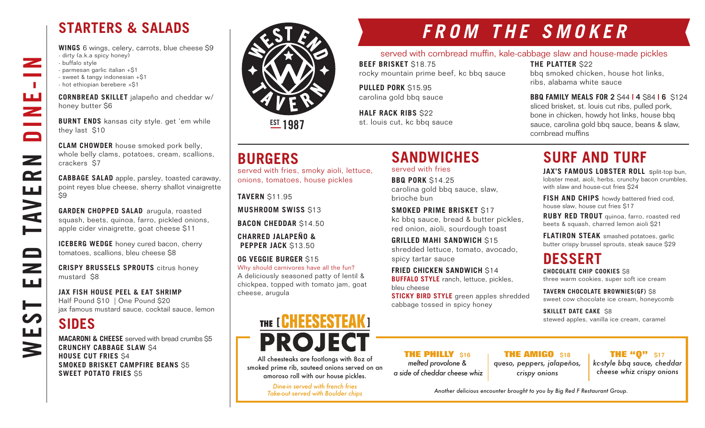## **STARTERS & SALADS**

**WINGS** 6 wings, celery, carrots, blue cheese \$9 - dirty (a.k.a spicy honey) - buffalo style - parmesan garlic italian +\$1 - sweet & tangy indonesian +\$1 - hot ethiopian berebere +\$1

**CORNBREAD SKILLET** jalapeño and cheddar w/ honey butter \$6

**BURNT ENDS** kansas city style. get 'em while they last \$10

**CLAM CHOWDER** house smoked pork belly, whole belly clams, potatoes, cream, scallions, crackers \$7

**CABBAGE SALAD** apple, parsley, toasted caraway, point reyes blue cheese, sherry shallot vinaigrette \$9

**GARDEN CHOPPED SALAD** arugula, roasted squash, beets, quinoa, farro, pickled onions, apple cider vinaigrette, goat cheese \$11

**ICEBERG WEDGE** honey cured bacon, cherry tomatoes, scallions, bleu cheese \$8

**CRISPY BRUSSELS SPROUTS** citrus honey mustard \$8

**JAX FISH HOUSE PEEL & EAT SHRIMP** Half Pound \$10 | One Pound \$20 jax famous mustard sauce, cocktail sauce, lemon

## **SIDES**

WEST END TAVERN DINE-IN

صطر

 $\qquad \qquad \Box$ 

 $\overline{\phantom{0}}$ ШÚ

┝══

Щ

 $\blacktriangleright$ 

**NVE** 

 $\overline{\phantom{a}}$ 

 $\sim 10$ 

ш<br>Z

 $\Box$ 

 $\mathbf{z}$ 

 $\mathbf{r}$ 

**MACARONI & CHEESE** served with bread crumbs \$5 **CRUNCHY CABBAGE SLAW** \$4 **HOUSE CUT FRIES** \$4 **SMOKED BRISKET CAMPFIRE BEANS** \$5 **SWEET POTATO FRIES** \$5



**EST 1987** 

## **BURGERS**

served with fries, smoky aioli, lettuce, onions, tomatoes, house pickles

**TAVERN** \$11.95

**MUSHROOM SWISS** \$13

**BACON CHEDDAR** \$14.50

**CHARRED JALAPEÑO & PEPPER JACK \$13.50** 

**OG VEGGIE BURGER** \$15 Why should carnivores have all the fun? A deliciously seasoned patty of lentil & chickpea, topped with tomato jam, goat cheese, arugula

# THE [ **CHEESESTEAK** ] **PROJECT**

All cheesteaks are footlongs with 8oz of smoked prime rib, sauteed onions served on an amoroso roll with our house pickles.

> *Dine-in served with french fries Take-out served with Boulder chips*

# *FROM THE SMOKER*

### served with cornbread muffin, kale-cabbage slaw and house-made pickles

**BEEF BRISKET** \$18.75 rocky mountain prime beef, kc bbq sauce

**SANDWICHES** 

carolina gold bbq sauce, slaw,

**SMOKED PRIME BRISKET** \$17

**FRIED CHICKEN SANDWICH** \$14 **BUFFALO STYLE** ranch, lettuce, pickles,

cabbage tossed in spicy honey

kc bbq sauce, bread & butter pickles, red onion, aioli, sourdough toast **GRILLED MAHI SANDWICH** \$15 shredded lettuce, tomato, avocado,

**STICKY BIRD STYLE** green apples shredded

served with fries **BBQ PORK** \$14.25

spicy tartar sauce

brioche bun

**PULLED PORK** \$15.95 carolina gold bbq sauce

**HALF RACK RIBS** \$22 st. louis cut, kc bbq sauce **THE PLATTER** \$22 bbq smoked chicken, house hot links, ribs, alabama white sauce

**BBQ FAMILY MEALS FOR 2** \$44 **| 4** \$84 **| 6** \$124 sliced brisket, st. louis cut ribs, pulled pork, bone in chicken, howdy hot links, house bbq sauce, carolina gold bbq sauce, beans & slaw, cornbread muffins

# **SURF AND TURF**

**JAX'S FAMOUS LOBSTER ROLL** split-top bun, lobster meat, aioli, herbs, crunchy bacon crumbles, with slaw and house-cut fries \$24

**FISH AND CHIPS** howdy battered fried cod, house slaw, house cut fries \$17

**RUBY RED TROUT** quinoa, farro, roasted red beets & squash, charred lemon aioli \$21

**FLATIRON STEAK** smashed potatoes, garlic butter crispy brussel sprouts, steak sauce \$29

## **DESSERT**

**CHOCOLATE CHIP COOKIES** \$8 three warm cookies, super soft ice cream

**TAVERN CHOCOLATE BROWNIES(GF)** \$8 sweet cow chocolate ice cream, honeycomb

**SKILLET DATE CAKE S8** stewed apples, vanilla ice cream, caramel

**THE PHILLY** \$16 *melted provolone & a side of cheddar cheese whiz*

**THE AMIGO \$18** *queso, peppers, jalapeños, crispy onions*

**THE "Q"** \$17

*kc-style bbq sauce, cheddar cheese whiz crispy onions*

*Another delicious encounter brought to you by Big Red F Restaurant Group.*

bleu cheese